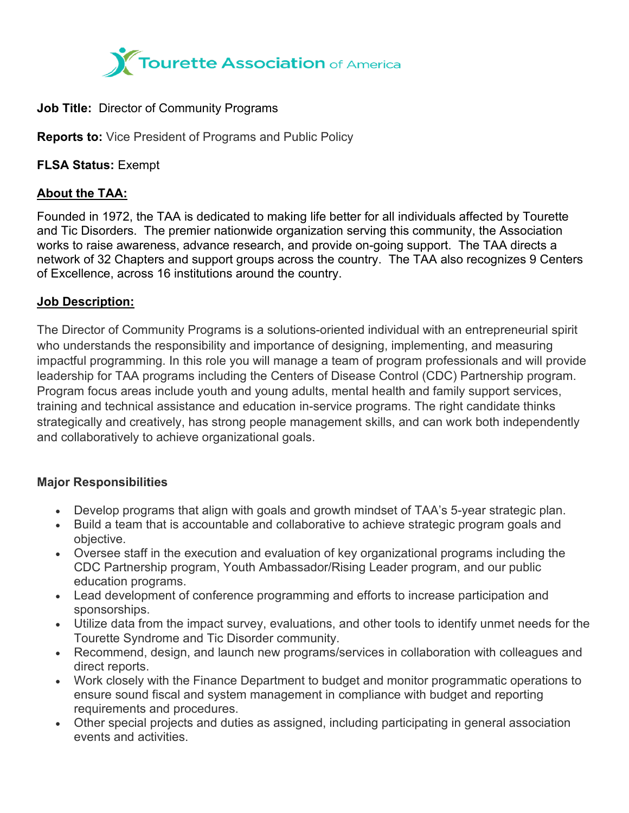

#### **Job Title:** Director of Community Programs

**Reports to:** Vice President of Programs and Public Policy

**FLSA Status:** Exempt

# **About the TAA:**

Founded in 1972, the TAA is dedicated to making life better for all individuals affected by Tourette and Tic Disorders. The premier nationwide organization serving this community, the Association works to raise awareness, advance research, and provide on-going support. The TAA directs a network of 32 Chapters and support groups across the country. The TAA also recognizes 9 Centers of Excellence, across 16 institutions around the country.

### **Job Description:**

The Director of Community Programs is a solutions-oriented individual with an entrepreneurial spirit who understands the responsibility and importance of designing, implementing, and measuring impactful programming. In this role you will manage a team of program professionals and will provide leadership for TAA programs including the Centers of Disease Control (CDC) Partnership program. Program focus areas include youth and young adults, mental health and family support services, training and technical assistance and education in-service programs. The right candidate thinks strategically and creatively, has strong people management skills, and can work both independently and collaboratively to achieve organizational goals.

## **Major Responsibilities**

- Develop programs that align with goals and growth mindset of TAA's 5-year strategic plan.
- Build a team that is accountable and collaborative to achieve strategic program goals and objective.
- Oversee staff in the execution and evaluation of key organizational programs including the CDC Partnership program, Youth Ambassador/Rising Leader program, and our public education programs.
- Lead development of conference programming and efforts to increase participation and sponsorships.
- Utilize data from the impact survey, evaluations, and other tools to identify unmet needs for the Tourette Syndrome and Tic Disorder community.
- Recommend, design, and launch new programs/services in collaboration with colleagues and direct reports.
- Work closely with the Finance Department to budget and monitor programmatic operations to ensure sound fiscal and system management in compliance with budget and reporting requirements and procedures.
- Other special projects and duties as assigned, including participating in general association events and activities.